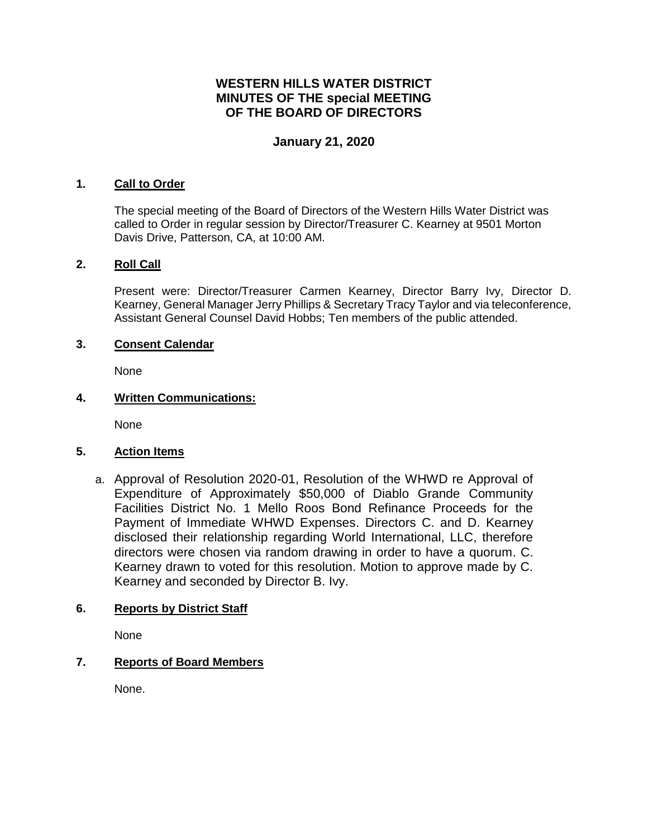# **WESTERN HILLS WATER DISTRICT MINUTES OF THE special MEETING OF THE BOARD OF DIRECTORS**

### **January 21, 2020**

#### **1. Call to Order**

The special meeting of the Board of Directors of the Western Hills Water District was called to Order in regular session by Director/Treasurer C. Kearney at 9501 Morton Davis Drive, Patterson, CA, at 10:00 AM.

#### **2. Roll Call**

Present were: Director/Treasurer Carmen Kearney, Director Barry Ivy, Director D. Kearney, General Manager Jerry Phillips & Secretary Tracy Taylor and via teleconference, Assistant General Counsel David Hobbs; Ten members of the public attended.

#### **3. Consent Calendar**

None

#### **4. Written Communications:**

None

### **5. Action Items**

a. Approval of Resolution 2020-01, Resolution of the WHWD re Approval of Expenditure of Approximately \$50,000 of Diablo Grande Community Facilities District No. 1 Mello Roos Bond Refinance Proceeds for the Payment of Immediate WHWD Expenses. Directors C. and D. Kearney disclosed their relationship regarding World International, LLC, therefore directors were chosen via random drawing in order to have a quorum. C. Kearney drawn to voted for this resolution. Motion to approve made by C. Kearney and seconded by Director B. Ivy.

### **6. Reports by District Staff**

None

### **7. Reports of Board Members**

None.